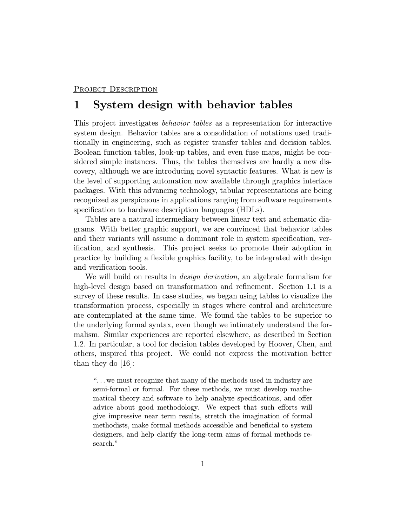#### PROJECT DESCRIPTION

# 1 System design with behavior tables

This project investigates behavior tables as a representation for interactive system design. Behavior tables are a consolidation of notations used traditionally in engineering, such as register transfer tables and decision tables. Boolean function tables, look-up tables, and even fuse maps, might be considered simple instances. Thus, the tables themselves are hardly a new discovery, although we are introducing novel syntactic features. What is new is the level of supporting automation now available through graphics interface packages. With this advancing technology, tabular representations are being recognized as perspicuous in applications ranging from software requirements specification to hardware description languages (HDLs).

Tables are a natural intermediary between linear text and schematic diagrams. With better graphic support, we are convinced that behavior tables and their variants will assume a dominant role in system specification, verification, and synthesis. This project seeks to promote their adoption in practice by building a flexible graphics facility, to be integrated with design and verification tools.

We will build on results in *design derivation*, an algebraic formalism for high-level design based on transformation and refinement. Section 1.1 is a survey of these results. In case studies, we began using tables to visualize the transformation process, especially in stages where control and architecture are contemplated at the same time. We found the tables to be superior to the underlying formal syntax, even though we intimately understand the formalism. Similar experiences are reported elsewhere, as described in Section 1.2. In particular, a tool for decision tables developed by Hoover, Chen, and others, inspired this project. We could not express the motivation better than they do [16]:

". ..we must recognize that many of the methods used in industry are semi-formal or formal. For these methods, we must develop mathematical theory and software to help analyze specifications, and offer advice about good methodology. We expect that such efforts will give impressive near term results, stretch the imagination of formal methodists, make formal methods accessible and beneficial to system designers, and help clarify the long-term aims of formal methods research."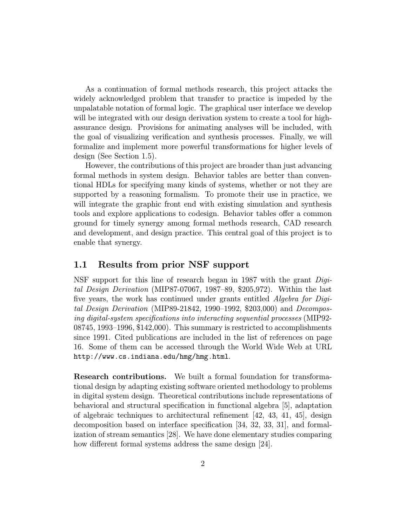As a continuation of formal methods research, this project attacks the widely acknowledged problem that transfer to practice is impeded by the unpalatable notation of formal logic. The graphical user interface we develop will be integrated with our design derivation system to create a tool for highassurance design. Provisions for animating analyses will be included, with the goal of visualizing verification and synthesis processes. Finally, we will formalize and implement more powerful transformations for higher levels of design (See Section 1.5).

However, the contributions of this project are broader than just advancing formal methods in system design. Behavior tables are better than conventional HDLs for specifying many kinds of systems, whether or not they are supported by a reasoning formalism. To promote their use in practice, we will integrate the graphic front end with existing simulation and synthesis tools and explore applications to codesign. Behavior tables offer a common ground for timely synergy among formal methods research, CAD research and development, and design practice. This central goal of this project is to enable that synergy.

#### 1.1 Results from prior NSF support

NSF support for this line of research began in 1987 with the grant Digital Design Derivation (MIP87-07067, 1987–89, \$205,972). Within the last five years, the work has continued under grants entitled Algebra for Digital Design Derivation (MIP89-21842, 1990–1992, \$203,000) and Decomposing digital-system specifications into interacting sequential processes (MIP92- 08745, 1993–1996, \$142,000). This summary is restricted to accomplishments since 1991. Cited publications are included in the list of references on page 16. Some of them can be accessed through the World Wide Web at URL http://www.cs.indiana.edu/hmg/hmg.html.

Research contributions. We built a formal foundation for transformational design by adapting existing software oriented methodology to problems in digital system design. Theoretical contributions include representations of behavioral and structural specification in functional algebra [5], adaptation of algebraic techniques to architectural refinement  $(42, 43, 41, 45)$ , design decomposition based on interface specification [34, 32, 33, 31], and formalization of stream semantics [28]. We have done elementary studies comparing how different formal systems address the same design [24].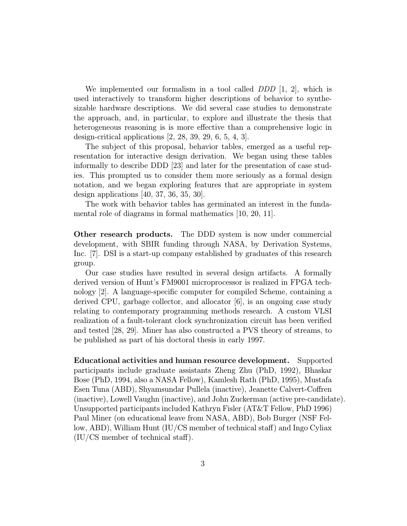We implemented our formalism in a tool called  $DDD$  [1, 2], which is used interactively to transform higher descriptions of behavior to synthesizable hardware descriptions. We did several case studies to demonstrate the approach, and, in particular, to explore and illustrate the thesis that heterogeneous reasoning is is more effective than a comprehensive logic in design-critical applications [2, 28, 39, 29, 6, 5, 4, 3].

The subject of this proposal, behavior tables, emerged as a useful representation for interactive design derivation. We began using these tables informally to describe DDD [23] and later for the presentation of case studies. This prompted us to consider them more seriously as a formal design notation, and we began exploring features that are appropriate in system design applications [40, 37, 36, 35, 30].

The work with behavior tables has germinated an interest in the fundamental role of diagrams in formal mathematics [10, 20, 11].

Other research products. The DDD system is now under commercial development, with SBIR funding through NASA, by Derivation Systems, Inc. [7]. DSI is a start-up company established by graduates of this research group.

Our case studies have resulted in several design artifacts. A formally derived version of Hunt's FM9001 microprocessor is realized in FPGA technology [2]. A language-specific computer for compiled Scheme, containing a derived CPU, garbage collector, and allocator [6], is an ongoing case study relating to contemporary programming methods research. A custom VLSI realization of a fault-tolerant clock synchronization circuit has been verified and tested [28, 29]. Miner has also constructed a PVS theory of streams, to be published as part of his doctoral thesis in early 1997.

Educational activities and human resource development. Supported participants include graduate assistants Zheng Zhu (PhD, 1992), Bhaskar Bose (PhD, 1994, also a NASA Fellow), Kamlesh Rath (PhD, 1995), Mustafa Esen Tuna (ABD), Shyamsundar Pullela (inactive), Jeanette Calvert-Coffren (inactive), Lowell Vaughn (inactive), and John Zuckerman (active pre-candidate). Unsupported participants included Kathryn Fisler (AT&T Fellow, PhD 1996) Paul Miner (on educational leave from NASA, ABD), Bob Burger (NSF Fellow, ABD), William Hunt (IU/CS member of technical staff) and Ingo Cyliax (IU/CS member of technical staff).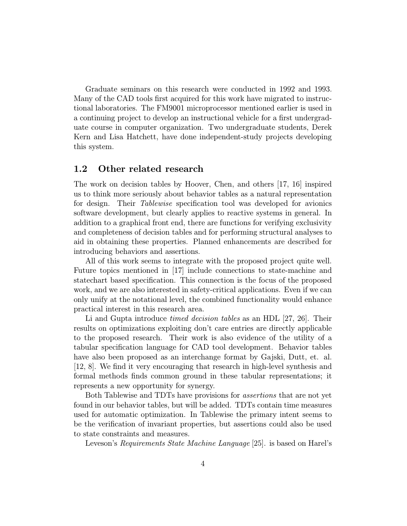Graduate seminars on this research were conducted in 1992 and 1993. Many of the CAD tools first acquired for this work have migrated to instructional laboratories. The FM9001 microprocessor mentioned earlier is used in a continuing project to develop an instructional vehicle for a first undergraduate course in computer organization. Two undergraduate students, Derek Kern and Lisa Hatchett, have done independent-study projects developing this system.

### 1.2 Other related research

The work on decision tables by Hoover, Chen, and others [17, 16] inspired us to think more seriously about behavior tables as a natural representation for design. Their Tablewise specification tool was developed for avionics software development, but clearly applies to reactive systems in general. In addition to a graphical front end, there are functions for verifying exclusivity and completeness of decision tables and for performing structural analyses to aid in obtaining these properties. Planned enhancements are described for introducing behaviors and assertions.

All of this work seems to integrate with the proposed project quite well. Future topics mentioned in [17] include connections to state-machine and statechart based specification. This connection is the focus of the proposed work, and we are also interested in safety-critical applications. Even if we can only unify at the notational level, the combined functionality would enhance practical interest in this research area.

Li and Gupta introduce *timed decision tables* as an HDL [27, 26]. Their results on optimizations exploiting don't care entries are directly applicable to the proposed research. Their work is also evidence of the utility of a tabular specification language for CAD tool development. Behavior tables have also been proposed as an interchange format by Gajski, Dutt, et. al. [12, 8]. We find it very encouraging that research in high-level synthesis and formal methods finds common ground in these tabular representations; it represents a new opportunity for synergy.

Both Tablewise and TDTs have provisions for assertions that are not yet found in our behavior tables, but will be added. TDTs contain time measures used for automatic optimization. In Tablewise the primary intent seems to be the verification of invariant properties, but assertions could also be used to state constraints and measures.

Leveson's Requirements State Machine Language [25]. is based on Harel's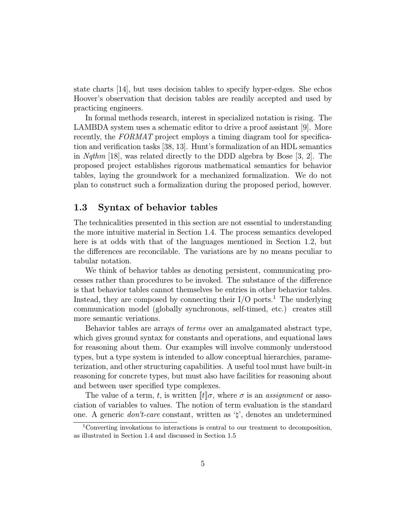state charts [14], but uses decision tables to specify hyper-edges. She echos Hoover's observation that decision tables are readily accepted and used by practicing engineers.

In formal methods research, interest in specialized notation is rising. The LAMBDA system uses a schematic editor to drive a proof assistant [9]. More recently, the FORMAT project employs a timing diagram tool for specification and verification tasks [38, 13]. Hunt's formalization of an HDL semantics in Nqthm [18], was related directly to the DDD algebra by Bose [3, 2]. The proposed project establishes rigorous mathematical semantics for behavior tables, laying the groundwork for a mechanized formalization. We do not plan to construct such a formalization during the proposed period, however.

### 1.3 Syntax of behavior tables

The technicalities presented in this section are not essential to understanding the more intuitive material in Section 1.4. The process semantics developed here is at odds with that of the languages mentioned in Section 1.2, but the differences are reconcilable. The variations are by no means peculiar to tabular notation.

We think of behavior tables as denoting persistent, communicating processes rather than procedures to be invoked. The substance of the difference is that behavior tables cannot themselves be entries in other behavior tables. Instead, they are composed by connecting their  $I/O$  ports.<sup>1</sup> The underlying communication model (globally synchronous, self-timed, etc.) creates still more semantic veriations.

Behavior tables are arrays of terms over an amalgamated abstract type, which gives ground syntax for constants and operations, and equational laws for reasoning about them. Our examples will involve commonly understood types, but a type system is intended to allow conceptual hierarchies, parameterization, and other structuring capabilities. A useful tool must have built-in reasoning for concrete types, but must also have facilities for reasoning about and between user specified type complexes.

The value of a term, t, is written  $\llbracket t \rrbracket \sigma$ , where  $\sigma$  is an assignment or association of variables to values. The notion of term evaluation is the standard one. A generic *don't-care* constant, written as  $\forall$ , denotes an undetermined

<sup>1</sup>Converting invokations to interactions is central to our treatment to decomposition, as illustrated in Section 1.4 and discussed in Section 1.5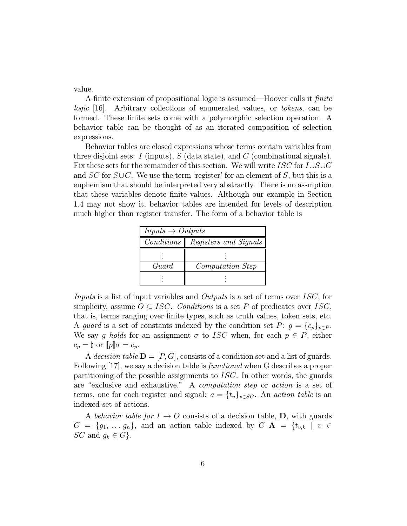value.

A finite extension of propositional logic is assumed—Hoover calls it finite logic [16]. Arbitrary collections of enumerated values, or tokens, can be formed. These finite sets come with a polymorphic selection operation. A behavior table can be thought of as an iterated composition of selection expressions.

Behavior tables are closed expressions whose terms contain variables from three disjoint sets: I (inputs),  $S$  (data state), and  $C$  (combinational signals). Fix these sets for the remainder of this section. We will write  $ISC$  for  $I\cup S\cup C$ and  $SC$  for  $S \cup C$ . We use the term 'register' for an element of S, but this is a euphemism that should be interpreted very abstractly. There is no assmption that these variables denote finite values. Although our example in Section 1.4 may not show it, behavior tables are intended for levels of description much higher than register transfer. The form of a behavior table is

| $Inputs \rightarrow Outputs$ |                                    |  |  |  |  |  |  |
|------------------------------|------------------------------------|--|--|--|--|--|--|
|                              | Conditions   Registers and Signals |  |  |  |  |  |  |
|                              |                                    |  |  |  |  |  |  |
| Guard                        | <i>Computation Step</i>            |  |  |  |  |  |  |
|                              |                                    |  |  |  |  |  |  |

Inputs is a list of input variables and Outputs is a set of terms over ISC; for simplicity, assume  $O \subseteq ISC$ . Conditions is a set P of predicates over ISC, that is, terms ranging over finite types, such as truth values, token sets, etc. A guard is a set of constants indexed by the condition set  $P: g = \{c_p\}_{p \in P}$ . We say g holds for an assignment  $\sigma$  to ISC when, for each  $p \in P$ , either  $c_p = \dagger$  or  $[p]\sigma = c_p$ .

A decision table  $\mathbf{D} = [P, G]$ , consists of a condition set and a list of guards. Following [17], we say a decision table is *functional* when G describes a proper partitioning of the possible assignments to ISC. In other words, the guards are "exclusive and exhaustive." A computation step or action is a set of terms, one for each register and signal:  $a = \{t_v\}_{v \in SC}$ . An action table is an indexed set of actions.

A behavior table for  $I \rightarrow O$  consists of a decision table, **D**, with guards  $G = \{g_1, \ldots, g_n\}$ , and an action table indexed by  $G \mathbf{A} = \{t_{v,k} \mid v \in$ SC and  $g_k \in G$ .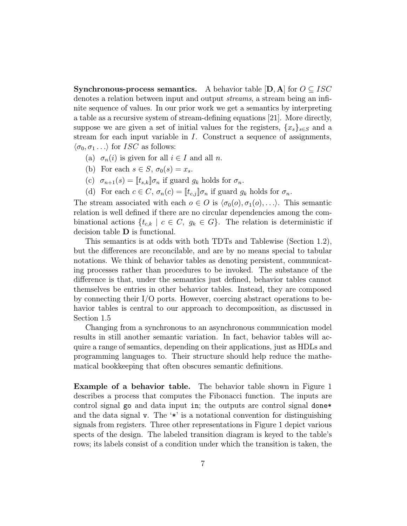**Synchronous-process semantics.** A behavior table  $[D, A]$  for  $O \subseteq ISC$ denotes a relation between input and output streams, a stream being an infinite sequence of values. In our prior work we get a semantics by interpreting a table as a recursive system of stream-defining equations [21]. More directly, suppose we are given a set of initial values for the registers,  ${x_s}_{s \in S}$  and a stream for each input variable in I. Construct a sequence of assignments,  $\langle \sigma_0, \sigma_1 \dots \rangle$  for *ISC* as follows:

- (a)  $\sigma_n(i)$  is given for all  $i \in I$  and all n.
- (b) For each  $s \in S$ ,  $\sigma_0(s) = x_s$ .
- (c)  $\sigma_{n+1}(s) = [t_{s,k}] \sigma_n$  if guard  $g_k$  holds for  $\sigma_n$ .
- (d) For each  $c \in C$ ,  $\sigma_n(c) = [t_{c,j}]\sigma_n$  if guard  $g_k$  holds for  $\sigma_n$ .

The stream associated with each  $o \in O$  is  $\langle \sigma_0(o), \sigma_1(o), \ldots \rangle$ . This semantic relation is well defined if there are no circular dependencies among the combinational actions  $\{t_{c,k} \mid c \in C, g_k \in G\}$ . The relation is deterministic if decision table D is functional.

This semantics is at odds with both TDTs and Tablewise (Section 1.2), but the differences are reconcilable, and are by no means special to tabular notations. We think of behavior tables as denoting persistent, communicating processes rather than procedures to be invoked. The substance of the difference is that, under the semantics just defined, behavior tables cannot themselves be entries in other behavior tables. Instead, they are composed by connecting their I/O ports. However, coercing abstract operations to behavior tables is central to our approach to decomposition, as discussed in Section 1.5

Changing from a synchronous to an asynchronous communication model results in still another semantic variation. In fact, behavior tables will acquire a range of semantics, depending on their applications, just as HDLs and programming languages to. Their structure should help reduce the mathematical bookkeeping that often obscures semantic definitions.

Example of a behavior table. The behavior table shown in Figure 1 describes a process that computes the Fibonacci function. The inputs are control signal go and data input in; the outputs are control signal done\* and the data signal v. The '\*' is a notational convention for distinguishing signals from registers. Three other representations in Figure 1 depict various spects of the design. The labeled transition diagram is keyed to the table's rows; its labels consist of a condition under which the transition is taken, the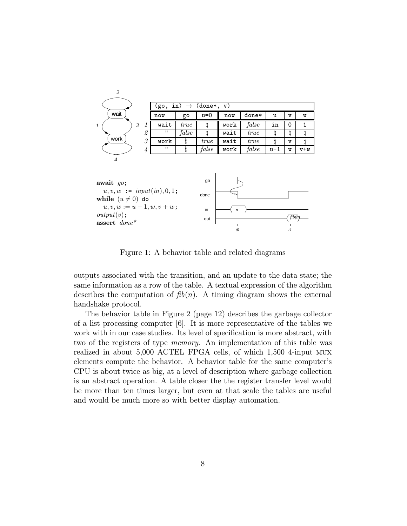

Figure 1: A behavior table and related diagrams

*t0 t1*

assert done\*

outputs associated with the transition, and an update to the data state; the same information as a row of the table. A textual expression of the algorithm describes the computation of  $fib(n)$ . A timing diagram shows the external handshake protocol.

The behavior table in Figure 2 (page 12) describes the garbage collector of a list processing computer [6]. It is more representative of the tables we work with in our case studies. Its level of specification is more abstract, with two of the registers of type memory. An implementation of this table was realized in about 5,000 ACTEL FPGA cells, of which 1,500 4-input mux elements compute the behavior. A behavior table for the same computer's CPU is about twice as big, at a level of description where garbage collection is an abstract operation. A table closer the the register transfer level would be more than ten times larger, but even at that scale the tables are useful and would be much more so with better display automation.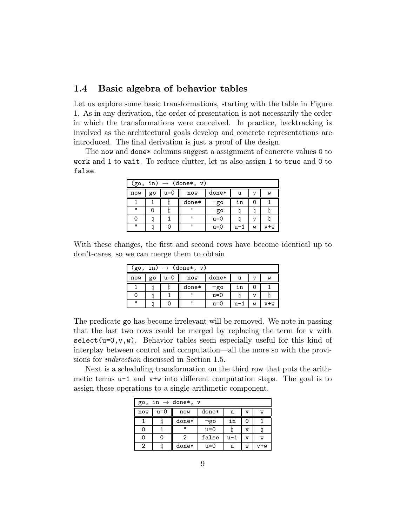#### 1.4 Basic algebra of behavior tables

Let us explore some basic transformations, starting with the table in Figure 1. As in any derivation, the order of presentation is not necessarily the order in which the transformations were conceived. In practice, backtracking is involved as the architectural goals develop and concrete representations are introduced. The final derivation is just a proof of the design.

The now and done\* columns suggest a assignment of concrete values 0 to work and 1 to wait. To reduce clutter, let us also assign 1 to true and 0 to false.

| in) $\rightarrow$ (done*, v)<br>(go, |                                     |  |                |           |     |    |     |  |  |
|--------------------------------------|-------------------------------------|--|----------------|-----------|-----|----|-----|--|--|
| now                                  | done*<br>u=0<br>now<br>go<br>u<br>v |  |                |           |     |    |     |  |  |
|                                      |                                     |  | done*          | $\neg$ go | in  |    |     |  |  |
| $\mathbf{H}$                         |                                     |  | $\mathbf{u}$   | ¬go       |     |    |     |  |  |
| 0                                    |                                     |  | $\mathbf{u}$   | u=0       |     | ٦T |     |  |  |
| $\mathbf{H}$                         |                                     |  | $\blacksquare$ | u=0       | u-1 | W  | v+w |  |  |

With these changes, the first and second rows have become identical up to don't-cares, so we can merge them to obtain

| in) $\rightarrow$ (done*,<br>V)<br>(go, |                                             |  |              |           |     |   |     |  |
|-----------------------------------------|---------------------------------------------|--|--------------|-----------|-----|---|-----|--|
| now                                     | $u=0$<br>done*<br>now<br>go<br>W<br>u<br>٦T |  |              |           |     |   |     |  |
|                                         |                                             |  | done*        | $\neg$ go | in  |   |     |  |
| Ő                                       |                                             |  | $\mathbf{u}$ | u=0       |     |   |     |  |
| $\mathbf{u}$                            |                                             |  | $^{\rm{II}}$ | u=0       | u-1 | W | v+w |  |

The predicate go has become irrelevant will be removed. We note in passing that the last two rows could be merged by replacing the term for v with select( $u=0, v, w$ ). Behavior tables seem especially useful for this kind of interplay between control and computation—all the more so with the provisions for indirection discussed in Section 1.5.

Next is a scheduling transformation on the third row that puts the arithmetic terms  $u-1$  and  $v+w$  into different computation steps. The goal is to assign these operations to a single arithmetic component.

| in $\rightarrow$ done*, v<br>go, |       |                |         |     |   |     |  |  |  |
|----------------------------------|-------|----------------|---------|-----|---|-----|--|--|--|
| now                              | $u=0$ | now            | $done*$ | u   | v | W   |  |  |  |
|                                  |       | $done*$        | ס¤ַי    | in  | O |     |  |  |  |
|                                  |       | $\blacksquare$ | $u=0$   |     | v |     |  |  |  |
|                                  |       | 2              | false   | u-1 | v | W   |  |  |  |
| $\overline{2}$                   |       | done*          | u=0     | u   | W | v+w |  |  |  |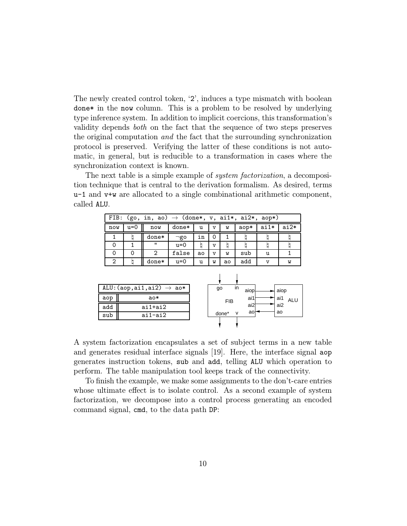The newly created control token, '2', induces a type mismatch with boolean done\* in the now column. This is a problem to be resolved by underlying type inference system. In addition to implicit coercions, this transformation's validity depends both on the fact that the sequence of two steps preserves the original computation and the fact that the surrounding synchronization protocol is preserved. Verifying the latter of these conditions is not automatic, in general, but is reducible to a transformation in cases where the synchronization context is known.

The next table is a simple example of *system factorization*, a decomposition technique that is central to the derivation formalism. As desired, terms u-1 and v+w are allocated to a single combinational arithmetic component, called ALU.

|     | FIB: (go, in, ao) $\rightarrow$ (done*, v, ai1*, ai2*, aop*) |                   |           |     |              |    |      |      |      |  |  |
|-----|--------------------------------------------------------------|-------------------|-----------|-----|--------------|----|------|------|------|--|--|
| now | $u=0$                                                        | now               | $done*$   | u   | $\mathbf{v}$ | W  | aop* | ai1* | ai2* |  |  |
|     |                                                              | done*             | $\neg$ go | in  | 0            |    |      |      |      |  |  |
|     |                                                              | $^{\prime\prime}$ | $u=0$     |     | $\mathbf{v}$ |    |      |      |      |  |  |
|     |                                                              |                   | false     | ao. | $\mathbf{v}$ | W  | sub  | u    |      |  |  |
| 2   |                                                              | $done*$           | $u=0$     | u   | W            | ao | add  | v    | W    |  |  |

|     | ALU: $(aop, ai1, ai2) \rightarrow ao*$ | go         | in           | aiop | aiop |     |
|-----|----------------------------------------|------------|--------------|------|------|-----|
| aop | $a^*$                                  | <b>FIB</b> |              | ai1  | ai1  | ALU |
| add | ai1+ai2                                |            |              | ai2  | ai2  |     |
| sub | ai1-ai2                                | done*      | $\mathsf{v}$ | ao   | ao   |     |
|     |                                        |            |              |      |      |     |

A system factorization encapsulates a set of subject terms in a new table and generates residual interface signals [19]. Here, the interface signal aop generates instruction tokens, sub and add, telling ALU which operation to perform. The table manipulation tool keeps track of the connectivity.

To finish the example, we make some assignments to the don't-care entries whose ultimate effect is to isolate control. As a second example of system factorization, we decompose into a control process generating an encoded command signal, cmd, to the data path DP: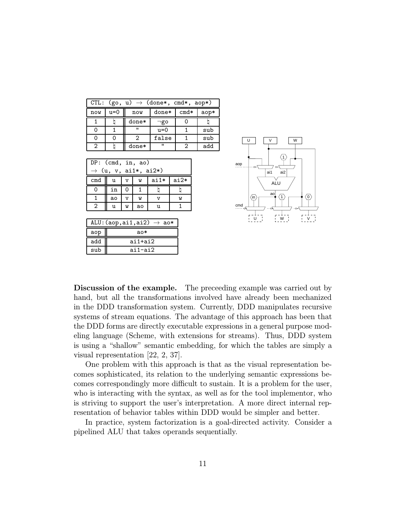|     | CTL: $(go, u) \rightarrow (done*, cmd*, aop*)$ |                |           |        |      |  |  |  |  |  |
|-----|------------------------------------------------|----------------|-----------|--------|------|--|--|--|--|--|
| now | u=0                                            | now            | $done*$   | $cmd*$ | aop* |  |  |  |  |  |
|     |                                                | $done*$        | $\neg$ go |        |      |  |  |  |  |  |
| ი   |                                                | $\blacksquare$ | $u=0$     |        | sub  |  |  |  |  |  |
| Ω   | ი                                              |                | false     |        | sub  |  |  |  |  |  |
| 2   |                                                | done*          | "         |        | add  |  |  |  |  |  |

| DP: (cmd, in, ao)<br>$\rightarrow$ (u, v, ai1*, ai2*) |                                                |              |    |  |  |  |  |  |  |
|-------------------------------------------------------|------------------------------------------------|--------------|----|--|--|--|--|--|--|
| cmd                                                   | $a$ i $1*$<br>$ai2*$<br>u<br>W<br>$\mathbf{v}$ |              |    |  |  |  |  |  |  |
|                                                       | in                                             | $\left($     |    |  |  |  |  |  |  |
|                                                       | ao                                             | W<br>W<br>٦T |    |  |  |  |  |  |  |
| 2                                                     | u                                              | W            | ao |  |  |  |  |  |  |

| ALU: $(aop, ai1, ai2) \rightarrow ao*$ |         |  |  |  |  |  |
|----------------------------------------|---------|--|--|--|--|--|
| aop                                    | ao∗     |  |  |  |  |  |
| add                                    | ai1+ai2 |  |  |  |  |  |
| sub                                    | ai1-ai2 |  |  |  |  |  |



Discussion of the example. The preceeding example was carried out by hand, but all the transformations involved have already been mechanized in the DDD transformation system. Currently, DDD manipulates recursive systems of stream equations. The advantage of this approach has been that the DDD forms are directly executable expressions in a general purpose modeling language (Scheme, with extensions for streams). Thus, DDD system is using a "shallow" semantic embedding, for which the tables are simply a visual representation [22, 2, 37].

One problem with this approach is that as the visual representation becomes sophisticated, its relation to the underlying semantic expressions becomes correspondingly more difficult to sustain. It is a problem for the user, who is interacting with the syntax, as well as for the tool implementor, who is striving to support the user's interpretation. A more direct internal representation of behavior tables within DDD would be simpler and better.

In practice, system factorization is a goal-directed activity. Consider a pipelined ALU that takes operands sequentially.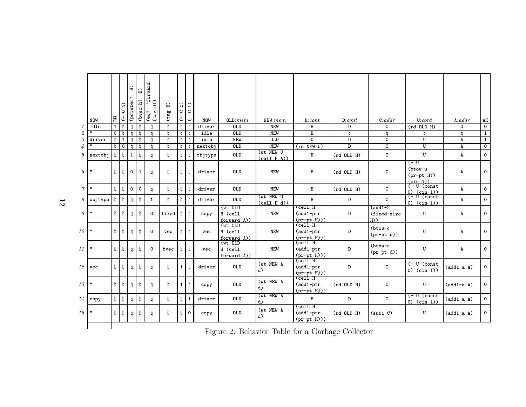|                            | <b>NOW</b>              | RQ             | $\mathbf{a}$<br>$\overline{D}$<br>$\mathsf{L}$ | $\Xi$<br>(pointer? | E<br>(bvec-h? | forward<br>$\widehat{d}$<br>$rac{6}{2}$ bə) | $\Xi$<br>(tag | $\widehat{\circ}$<br>$\circ$<br>$\overline{\mathsf{L}}$ | $\widehat{H}$<br>$\circ$<br>J | <b>NOW</b> | OLD: mem                             | NEW: mem                  | H: cont                                                  | D: cont        | C:addr                                      | U: cont                                                          | A:addr         | AK             |
|----------------------------|-------------------------|----------------|------------------------------------------------|--------------------|---------------|---------------------------------------------|---------------|---------------------------------------------------------|-------------------------------|------------|--------------------------------------|---------------------------|----------------------------------------------------------|----------------|---------------------------------------------|------------------------------------------------------------------|----------------|----------------|
| 1                          | idle                    | $\overline{1}$ | b                                              | h                  | h             | h                                           | h             | h                                                       | h                             | driver     | 0LD                                  | <b>NEW</b>                | H                                                        | D              | C                                           | $(rd$ OLD $H)$                                                   | $\Omega$       | $\mathsf{O}$   |
| $\ensuremath{\mathcal{Q}}$ | $\overline{\mathbf{u}}$ | $\overline{0}$ | b                                              | h                  | ᠮ             | h                                           | h             | $\mathfrak{h}^-$                                        | h                             | idle       | 0LD                                  | <b>NEW</b>                | Н                                                        | b              | b                                           | b                                                                | b              | $\overline{1}$ |
| $\boldsymbol{\mathcal{S}}$ | driver                  | h              | $\mathbf{1}$                                   | h                  | h             | h                                           | h             | h                                                       | h                             | idle       | <b>NEW</b>                           | 0LD                       | $\Omega$                                                 | D.             | C                                           | U                                                                | A              | $\overline{1}$ |
| $\overline{4}$             | $\mathbf{u}$            | h              | $\mathsf{O}$                                   | h                  | h             | h                                           | h             | h                                                       | b                             | nextobj    | 0LD                                  | <b>NEW</b>                | (rd NEW U)                                               | D              | $\overline{c}$                              | $\overline{U}$                                                   | A              | $\overline{0}$ |
| 5                          | nextobi                 | h              |                                                | $\mathbf{1}$       | h             | h                                           | $\natural$    | h                                                       | b                             | objtype    | OLD                                  | (wt NEW U<br>(cell H A))  | Н                                                        | $(rd$ OLD $H)$ | $\mathtt{C}$                                | U                                                                | A              | $\mathsf{O}$   |
| 6                          | $\mathbf{u}$            | h              | b                                              | $\mathbf 0$        | $\mathbf 1$   | h                                           | h             | h                                                       | b                             | driver     | <b>OLD</b>                           | <b>NEW</b>                | Н                                                        | $(rd$ OLD $H)$ | С                                           | (+ U<br>(btow-u<br>$(pr-pt H))$<br>(cin 1)                       | A              | $\circ$        |
| $\gamma$                   | $\mathbf{u}$            | $\frac{1}{2}$  |                                                | $\mathbf 0$        | $\mathbf 0$   | h                                           | $\natural$    | h                                                       | b                             | driver     | <b>OLD</b>                           | <b>NEW</b>                | H                                                        | $(rd$ OLD $H)$ | $\mathsf{C}$                                | $(+ 0$ (const<br>$0)$ (cin 1))                                   | A              | $\mathsf{O}$   |
| 8                          | objtype                 | b              |                                                | h                  | h             | $\mathbf{1}$                                | $\natural$    | h                                                       | b                             | driver     | OLD                                  | (wt NEW U<br>(cell H d))  | Н                                                        | D              | C                                           | $\overline{(+ \ \overline{U} \ \text{(const}})$<br>$0)$ (cin 1)) | A              | $\mathsf{O}$   |
| 9                          | $\mathbf{u}$            | h              |                                                | h                  | h             | $\mathsf{o}$                                | fixed         | h                                                       | h                             | copy       | $(wt)$ OLD<br>H (cell<br>forward A)) | <b>NEW</b>                | (cell H<br>(add1-ptr<br>$(pr-pt H)))$                    | D              | $(\texttt{add1-2})$<br>(fixed-size<br>$H$ ) | U                                                                | A              | $\circ$        |
| 10                         | $\mathbf{u}$            | h              |                                                | h                  | h             | $\mathsf{o}$                                | vec           | h                                                       | h                             | vec        | (wt OLD<br>H (cell<br>forward A))    | <b>NEW</b>                | $\overline{\text{cell}}$ H<br>(add1-ptr<br>$(pr-pt H)))$ | D              | (btow-c<br>$(pr-pt d))$                     | U                                                                | A              | $\circ$        |
| 11                         | $\mathbf{u}$            | $\natural$     |                                                | h                  | h             | $\mathsf{o}$                                | bvec          | h                                                       | h                             | vec        | $(wt$ OLD<br>H (cell<br>forward A))  | NEW                       | (cell H<br>(add1-ptr<br>$(pr-pt H)))$                    | D              | $(btow-c$<br>$(pr-pt d))$                   | $\mathbf U$                                                      | A              | $\circ$        |
| 12                         | vec                     | $\natural$     |                                                | h                  | h             | h                                           | h             | $\mathbf{1}$                                            | b                             | driver     | OLD                                  | (wt NEW A<br>d)           | $\overline{\text{cell}}$ H<br>(add1-ptr<br>$(pr-pt H)))$ | D              | C                                           | $(+ U (const$<br>$0)$ (cin 1))                                   | $(add1-a \ A)$ | $\mathsf{O}$   |
| 13                         | $\mathbf{H}$            | $\natural$     | h                                              | h                  | h             | $\natural$                                  | $\natural$    | 1                                                       | h                             | copy       | <b>OLD</b>                           | (wt NEW A<br>d)           | (cell H<br>$(add1-ptr)$<br>$(pr-pt H)))$                 | $(rd$ OLD $H)$ | C                                           | U                                                                | $(add1-a \ A)$ | $\overline{O}$ |
| 14                         | copy                    | $\natural$     | b                                              | þ                  | $\natural$    | h                                           | $\natural$    | h                                                       | $1\,$                         | driver     | OLD                                  | (wt NEW A<br>$\mathbf{d}$ | $\,$ H                                                   | D              | $\mathtt{C}$                                | (+ U (const<br>$0)$ (cin 1))                                     | $(add1-a \ A)$ | $\mathsf{O}$   |
| 15                         | $\mathbf{u}$            | $\natural$     | h                                              | h,                 | h             | h                                           | $\natural$    | h                                                       | 0                             | copy       | OLD                                  | (wt NEW A<br>d)           | (cell H<br>$(add1-ptr)$<br>$(pr-pt H)))$                 | $(rd$ OLD $H)$ | (sub1 C)                                    | U                                                                | $(add1-a \ A)$ | $\circ$        |
|                            |                         |                |                                                |                    |               |                                             |               |                                                         |                               |            |                                      |                           |                                                          |                |                                             |                                                                  |                |                |

Figure 2. Behavior Table for <sup>a</sup> Garbage Collector

12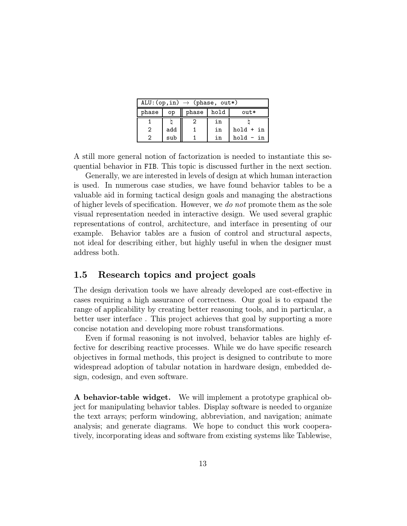| ALU: $(op,in) \rightarrow (phase, out*)$ |                              |  |    |             |  |  |  |  |  |  |
|------------------------------------------|------------------------------|--|----|-------------|--|--|--|--|--|--|
| phase                                    | phase   hold<br>$out*$<br>op |  |    |             |  |  |  |  |  |  |
|                                          |                              |  | in |             |  |  |  |  |  |  |
| 2                                        | add                          |  | in | $hold + in$ |  |  |  |  |  |  |
|                                          | sub                          |  | in | $hold - in$ |  |  |  |  |  |  |

A still more general notion of factorization is needed to instantiate this sequential behavior in FIB. This topic is discussed further in the next section.

Generally, we are interested in levels of design at which human interaction is used. In numerous case studies, we have found behavior tables to be a valuable aid in forming tactical design goals and managing the abstractions of higher levels of specification. However, we do not promote them as the sole visual representation needed in interactive design. We used several graphic representations of control, architecture, and interface in presenting of our example. Behavior tables are a fusion of control and structural aspects, not ideal for describing either, but highly useful in when the designer must address both.

## 1.5 Research topics and project goals

The design derivation tools we have already developed are cost-effective in cases requiring a high assurance of correctness. Our goal is to expand the range of applicability by creating better reasoning tools, and in particular, a better user interface . This project achieves that goal by supporting a more concise notation and developing more robust transformations.

Even if formal reasoning is not involved, behavior tables are highly effective for describing reactive processes. While we do have specific research objectives in formal methods, this project is designed to contribute to more widespread adoption of tabular notation in hardware design, embedded design, codesign, and even software.

A behavior-table widget. We will implement a prototype graphical object for manipulating behavior tables. Display software is needed to organize the text arrays; perform windowing, abbreviation, and navigation; animate analysis; and generate diagrams. We hope to conduct this work cooperatively, incorporating ideas and software from existing systems like Tablewise,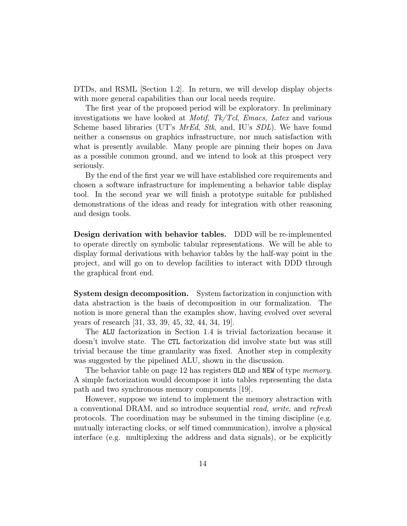DTDs, and RSML [Section 1.2]. In return, we will develop display objects with more general capabilities than our local needs require.

The first year of the proposed period will be exploratory. In preliminary investigations we have looked at *Motif*,  $Tk/Tcl$ , *Emacs*, *Latex* and various Scheme based libraries (UT's *MrEd, Stk*, and, IU's *SDL*). We have found neither a consensus on graphics infrastructure, nor much satisfaction with what is presently available. Many people are pinning their hopes on Java as a possible common ground, and we intend to look at this prospect very seriously.

By the end of the first year we will have established core requirements and chosen a software infrastructure for implementing a behavior table display tool. In the second year we will finish a prototype suitable for published demonstrations of the ideas and ready for integration with other reasoning and design tools.

Design derivation with behavior tables. DDD will be re-implemented to operate directly on symbolic tabular representations. We will be able to display formal derivations with behavior tables by the half-way point in the project, and will go on to develop facilities to interact with DDD through the graphical front end.

System design decomposition. System factorization in conjunction with data abstraction is the basis of decomposition in our formalization. The notion is more general than the examples show, having evolved over several years of research [31, 33, 39, 45, 32, 44, 34, 19].

The ALU factorization in Section 1.4 is trivial factorization because it doesn't involve state. The CTL factorization did involve state but was still trivial because the time granularity was fixed. Another step in complexity was suggested by the pipelined ALU, shown in the discussion.

The behavior table on page 12 has registers OLD and NEW of type *memory*. A simple factorization would decompose it into tables representing the data path and two synchronous memory components [19].

However, suppose we intend to implement the memory abstraction with a conventional DRAM, and so introduce sequential read, write, and refresh protocols. The coordination may be subsumed in the timing discipline (e.g. mutually interacting clocks, or self timed communication), involve a physical interface (e.g. multiplexing the address and data signals), or be explicitly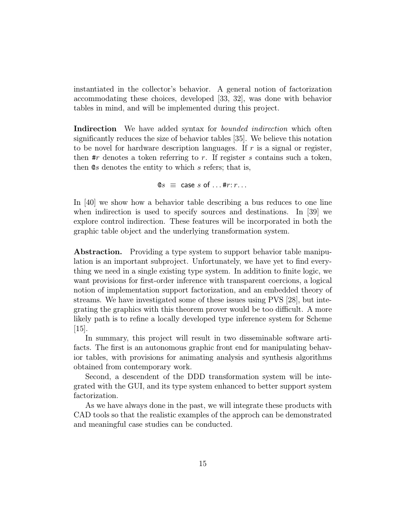instantiated in the collector's behavior. A general notion of factorization accommodating these choices, developed [33, 32], was done with behavior tables in mind, and will be implemented during this project.

Indirection We have added syntax for *bounded indirection* which often significantly reduces the size of behavior tables [35]. We believe this notation to be novel for hardware description languages. If  $r$  is a signal or register, then  $\#r$  denotes a token referring to r. If register s contains such a token, then  $\mathfrak{G}s$  denotes the entity to which s refers; that is,

 $\mathbb{Q}_S \equiv \text{case } s \text{ of } \dots \# r : r \dots$ 

In [40] we show how a behavior table describing a bus reduces to one line when indirection is used to specify sources and destinations. In [39] we explore control indirection. These features will be incorporated in both the graphic table object and the underlying transformation system.

Abstraction. Providing a type system to support behavior table manipulation is an important subproject. Unfortunately, we have yet to find everything we need in a single existing type system. In addition to finite logic, we want provisions for first-order inference with transparent coercions, a logical notion of implementation support factorization, and an embedded theory of streams. We have investigated some of these issues using PVS [28], but integrating the graphics with this theorem prover would be too difficult. A more likely path is to refine a locally developed type inference system for Scheme [15].

In summary, this project will result in two disseminable software artifacts. The first is an autonomous graphic front end for manipulating behavior tables, with provisions for animating analysis and synthesis algorithms obtained from contemporary work.

Second, a descendent of the DDD transformation system will be integrated with the GUI, and its type system enhanced to better support system factorization.

As we have always done in the past, we will integrate these products with CAD tools so that the realistic examples of the approch can be demonstrated and meaningful case studies can be conducted.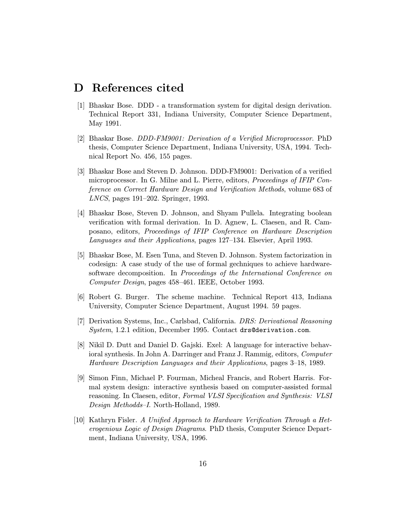# D References cited

- [1] Bhaskar Bose. DDD a transformation system for digital design derivation. Technical Report 331, Indiana University, Computer Science Department, May 1991.
- [2] Bhaskar Bose. DDD-FM9001: Derivation of a Verified Microprocessor. PhD thesis, Computer Science Department, Indiana University, USA, 1994. Technical Report No. 456, 155 pages.
- [3] Bhaskar Bose and Steven D. Johnson. DDD-FM9001: Derivation of a verified microprocessor. In G. Milne and L. Pierre, editors, Proceedings of IFIP Conference on Correct Hardware Design and Verification Methods, volume 683 of LNCS, pages 191–202. Springer, 1993.
- [4] Bhaskar Bose, Steven D. Johnson, and Shyam Pullela. Integrating boolean verification with formal derivation. In D. Agnew, L. Claesen, and R. Camposano, editors, Proceedings of IFIP Conference on Hardware Description Languages and their Applications, pages 127–134. Elsevier, April 1993.
- [5] Bhaskar Bose, M. Esen Tuna, and Steven D. Johnson. System factorization in codesign: A case study of the use of formal gechniques to achieve hardwaresoftware decomposition. In Proceedings of the International Conference on Computer Design, pages 458–461. IEEE, October 1993.
- [6] Robert G. Burger. The scheme machine. Technical Report 413, Indiana University, Computer Science Department, August 1994. 59 pages.
- [7] Derivation Systems, Inc., Carlsbad, California. DRS: Derivational Reasoning System, 1.2.1 edition, December 1995. Contact drs@derivation.com.
- [8] Nikil D. Dutt and Daniel D. Gajski. Exel: A language for interactive behavioral synthesis. In John A. Darringer and Franz J. Rammig, editors, Computer Hardware Description Languages and their Applications, pages 3–18, 1989.
- [9] Simon Finn, Michael P. Fourman, Micheal Francis, and Robert Harris. Formal system design: interactive synthesis based on computer-assisted formal reasoning. In Claesen, editor, Formal VLSI Specification and Synthesis: VLSI Design Methodds–I. North-Holland, 1989.
- [10] Kathryn Fisler. A Unified Approach to Hardware Verification Through a Heterogenious Logic of Design Diagrams. PhD thesis, Computer Science Department, Indiana University, USA, 1996.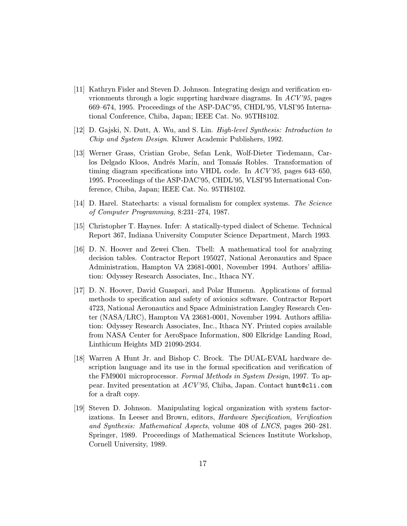- [11] Kathryn Fisler and Steven D. Johnson. Integrating design and verification envrionments through a logic supprting hardware diagrams. In ACV'95, pages 669–674, 1995. Proceedings of the ASP-DAC'95, CHDL'95, VLSI'95 International Conference, Chiba, Japan; IEEE Cat. No. 95TH8102.
- [12] D. Gajski, N. Dutt, A. Wu, and S. Lin. High-level Synthesis: Introduction to Chip and System Design. Kluwer Academic Publishers, 1992.
- [13] Werner Grass, Cristian Grobe, Sefan Lenk, Wolf-Dieter Tiedemann, Carlos Delgado Kloos, Andrés Marín, and Tomaás Robles. Transformation of timing diagram specifications into VHDL code. In ACV'95, pages 643–650, 1995. Proceedings of the ASP-DAC'95, CHDL'95, VLSI'95 International Conference, Chiba, Japan; IEEE Cat. No. 95TH8102.
- [14] D. Harel. Statecharts: a visual formalism for complex systems. The Science of Computer Programming, 8:231–274, 1987.
- [15] Christopher T. Haynes. Infer: A statically-typed dialect of Scheme. Technical Report 367, Indiana University Computer Science Department, March 1993.
- [16] D. N. Hoover and Zewei Chen. Tbell: A mathematical tool for analyzing decision tables. Contractor Report 195027, National Aeronautics and Space Administration, Hampton VA 23681-0001, November 1994. Authors' affiliation: Odyssey Research Associates, Inc., Ithaca NY.
- [17] D. N. Hoover, David Guaspari, and Polar Humenn. Applications of formal methods to specification and safety of avionics software. Contractor Report 4723, National Aeronautics and Space Administration Langley Research Center (NASA/LRC), Hampton VA 23681-0001, November 1994. Authors affiliation: Odyssey Research Associates, Inc., Ithaca NY. Printed copies available from NASA Center for AeroSpace Information, 800 Elkridge Landing Road, Linthicum Heights MD 21090-2934.
- [18] Warren A Hunt Jr. and Bishop C. Brock. The DUAL-EVAL hardware description language and its use in the formal specification and verification of the FM9001 microprocessor. Formal Methods in System Design, 1997. To appear. Invited presentation at ACV'95, Chiba, Japan. Contact hunt@cli.com for a draft copy.
- [19] Steven D. Johnson. Manipulating logical organization with system factorizations. In Leeser and Brown, editors, Hardware Specification, Verification and Synthesis: Mathematical Aspects, volume 408 of LNCS, pages 260–281. Springer, 1989. Proceedings of Mathematical Sciences Institute Workshop, Cornell University, 1989.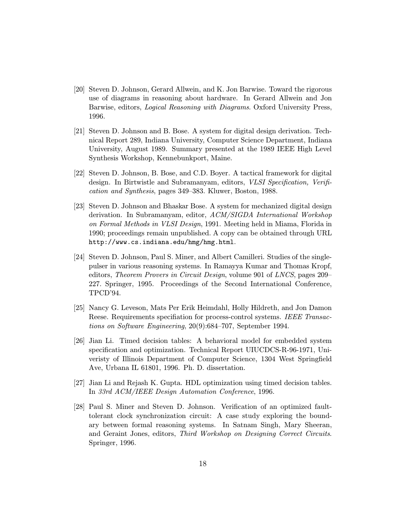- [20] Steven D. Johnson, Gerard Allwein, and K. Jon Barwise. Toward the rigorous use of diagrams in reasoning about hardware. In Gerard Allwein and Jon Barwise, editors, Logical Reasoning with Diagrams. Oxford University Press, 1996.
- [21] Steven D. Johnson and B. Bose. A system for digital design derivation. Technical Report 289, Indiana University, Computer Science Department, Indiana University, August 1989. Summary presented at the 1989 IEEE High Level Synthesis Workshop, Kennebunkport, Maine.
- [22] Steven D. Johnson, B. Bose, and C.D. Boyer. A tactical framework for digital design. In Birtwistle and Subramanyam, editors, *VLSI Specification*, *Verifi*cation and Synthesis, pages 349–383. Kluwer, Boston, 1988.
- [23] Steven D. Johnson and Bhaskar Bose. A system for mechanized digital design derivation. In Subramanyam, editor, ACM/SIGDA International Workshop on Formal Methods in VLSI Design, 1991. Meeting held in Miama, Florida in 1990; proceedings remain unpublished. A copy can be obtained through URL http://www.cs.indiana.edu/hmg/hmg.html.
- [24] Steven D. Johnson, Paul S. Miner, and Albert Camilleri. Studies of the singlepulser in various reasoning systems. In Ramayya Kumar and Thomas Kropf, editors, Theorem Provers in Circuit Design, volume 901 of LNCS, pages 209– 227. Springer, 1995. Proceedings of the Second International Conference, TPCD'94.
- [25] Nancy G. Leveson, Mats Per Erik Heimdahl, Holly Hildreth, and Jon Damon Reese. Requirements specifiation for process-control systems. IEEE Transactions on Software Engineering, 20(9):684–707, September 1994.
- [26] Jian Li. Timed decision tables: A behavioral model for embedded system specification and optimization. Technical Report UIUCDCS-R-96-1971, Univeristy of Illinois Department of Computer Science, 1304 West Springfield Ave, Urbana IL 61801, 1996. Ph. D. dissertation.
- [27] Jian Li and Rejash K. Gupta. HDL optimization using timed decision tables. In 33rd ACM/IEEE Design Automation Conference, 1996.
- [28] Paul S. Miner and Steven D. Johnson. Verification of an optimized faulttolerant clock synchronization circuit: A case study exploring the boundary between formal reasoning systems. In Satnam Singh, Mary Sheeran, and Geraint Jones, editors, Third Workshop on Designing Correct Circuits. Springer, 1996.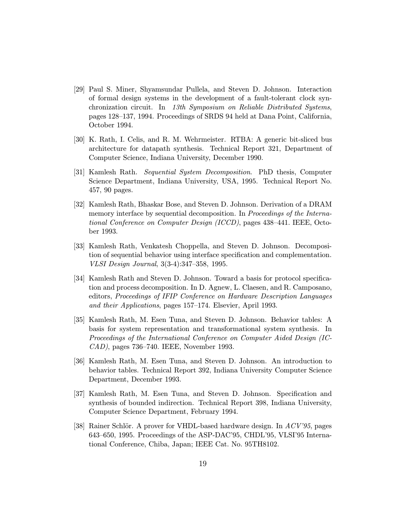- [29] Paul S. Miner, Shyamsundar Pullela, and Steven D. Johnson. Interaction of formal design systems in the development of a fault-tolerant clock synchronization circuit. In 13th Symposium on Reliable Distributed Systems, pages 128–137, 1994. Proceedings of SRDS 94 held at Dana Point, California, October 1994.
- [30] K. Rath, I. Celis, and R. M. Wehrmeister. RTBA: A generic bit-sliced bus architecture for datapath synthesis. Technical Report 321, Department of Computer Science, Indiana University, December 1990.
- [31] Kamlesh Rath. Sequential System Decomposition. PhD thesis, Computer Science Department, Indiana University, USA, 1995. Technical Report No. 457, 90 pages.
- [32] Kamlesh Rath, Bhaskar Bose, and Steven D. Johnson. Derivation of a DRAM memory interface by sequential decomposition. In *Proceedings of the Interna*tional Conference on Computer Design (ICCD), pages 438–441. IEEE, October 1993.
- [33] Kamlesh Rath, Venkatesh Choppella, and Steven D. Johnson. Decomposition of sequential behavior using interface specification and complementation. VLSI Design Journal, 3(3-4):347–358, 1995.
- [34] Kamlesh Rath and Steven D. Johnson. Toward a basis for protocol specification and process decomposition. In D. Agnew, L. Claesen, and R. Camposano, editors, Proceedings of IFIP Conference on Hardware Description Languages and their Applications, pages 157–174. Elsevier, April 1993.
- [35] Kamlesh Rath, M. Esen Tuna, and Steven D. Johnson. Behavior tables: A basis for system representation and transformational system synthesis. In Proceedings of the International Conference on Computer Aided Design (IC-CAD), pages 736–740. IEEE, November 1993.
- [36] Kamlesh Rath, M. Esen Tuna, and Steven D. Johnson. An introduction to behavior tables. Technical Report 392, Indiana University Computer Science Department, December 1993.
- [37] Kamlesh Rath, M. Esen Tuna, and Steven D. Johnson. Specification and synthesis of bounded indirection. Technical Report 398, Indiana University, Computer Science Department, February 1994.
- [38] Rainer Schlör. A prover for VHDL-based hardware design. In  $ACV'35$ , pages 643–650, 1995. Proceedings of the ASP-DAC'95, CHDL'95, VLSI'95 International Conference, Chiba, Japan; IEEE Cat. No. 95TH8102.